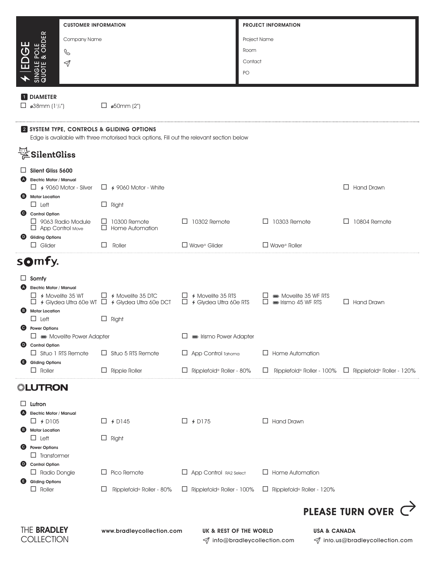|                                                                                           | <b>CUSTOMER INFORMATION</b>                                                              |                                  | <b>PROJECT INFORMATION</b>             |                                                            |  |  |  |  |  |
|-------------------------------------------------------------------------------------------|------------------------------------------------------------------------------------------|----------------------------------|----------------------------------------|------------------------------------------------------------|--|--|--|--|--|
| <b>LE</b><br>RDER<br>Company Name                                                         |                                                                                          |                                  | Project Name                           |                                                            |  |  |  |  |  |
| POLE<br>& OF<br>C                                                                         |                                                                                          |                                  | Room                                   |                                                            |  |  |  |  |  |
| EDGI<br>$\triangleleft$                                                                   |                                                                                          |                                  | Contact                                |                                                            |  |  |  |  |  |
| SINGLE I                                                                                  |                                                                                          |                                  | PO                                     |                                                            |  |  |  |  |  |
| <b>1</b> DIAMETER                                                                         |                                                                                          |                                  |                                        |                                                            |  |  |  |  |  |
| $\Box$ ø38mm (11/2")                                                                      | $\Box$ ø50mm (2")                                                                        |                                  |                                        |                                                            |  |  |  |  |  |
| 2 SYSTEM TYPE, CONTROLS & GLIDING OPTIONS                                                 |                                                                                          |                                  |                                        |                                                            |  |  |  |  |  |
| Edge is available with three motorised track options, Fill out the relevant section below |                                                                                          |                                  |                                        |                                                            |  |  |  |  |  |
| $\stackrel{\text{\tiny{E1}}}{\not\cong}$ SilentGliss                                      |                                                                                          |                                  |                                        |                                                            |  |  |  |  |  |
| Silent Gliss 5600<br><b>Electric Motor / Manual</b><br>(A)                                |                                                                                          |                                  |                                        |                                                            |  |  |  |  |  |
| $\Box$ 4 9060 Motor - Silver                                                              | $\Box$ 4 9060 Motor - White                                                              |                                  |                                        | $\Box$ Hand Drawn                                          |  |  |  |  |  |
| <b>B</b> Motor Location<br>$\Box$ Left                                                    | $\Box$ Right                                                                             |                                  |                                        |                                                            |  |  |  |  |  |
| Control Option<br>$\Box$ 9063 Radio Module                                                | $\Box$ 10300 Remote                                                                      | $\Box$ 10302 Remote              | $\Box$ 10303 Remote                    | $\Box$ 10804 Remote                                        |  |  |  |  |  |
| $\Box$ App Control Move<br><b>Gliding Options</b><br>$\bullet$                            | $\Box$ Home Automation                                                                   |                                  |                                        |                                                            |  |  |  |  |  |
| $\Box$ Glider                                                                             | Roller<br>$\perp$                                                                        | $\Box$ Wave® Glider              | $\Box$ Wave® Roller                    |                                                            |  |  |  |  |  |
| somfy.                                                                                    |                                                                                          |                                  |                                        |                                                            |  |  |  |  |  |
| $\Box$ Somfy                                                                              |                                                                                          |                                  |                                        |                                                            |  |  |  |  |  |
| <b>Electric Motor / Manual</b><br>$\Box$ 4 Movelite 35 WT                                 | $\Box$ 4 Movelite 35 DTC                                                                 | $\Box$ 4 Movelite 35 RTS         | Movelite 35 WF RTS                     |                                                            |  |  |  |  |  |
| <b>Motor Location</b>                                                                     | $\Box$ 4 Glydea Ultra 60e WT $\Box$ 4 Glydea Ultra 60e DCT $\Box$ 4 Glydea Ultra 60e RTS |                                  | $\Box$ $\blacksquare$ Irismo 45 WF RTS | $\Box$ Hand Drawn                                          |  |  |  |  |  |
| $\Box$ Left<br><b>Power Options</b>                                                       | $\Box$ Right                                                                             |                                  |                                        |                                                            |  |  |  |  |  |
| $\Box \equiv$ Movelite Power Adapter                                                      |                                                                                          | lismo Power Adapter              |                                        |                                                            |  |  |  |  |  |
| <b>Control Option</b><br>$\bullet$<br>$\Box$ Situo 1 RTS Remote                           | $\Box$ Situo 5 RTS Remote                                                                | $\Box$ App Control Tahoma        | $\Box$ Home Automation                 |                                                            |  |  |  |  |  |
| <b>Gliding Options</b><br>⊌<br>$\Box$ Roller                                              | $\Box$ Ripple Roller                                                                     | $\Box$ Ripplefold® Roller - 80%  | Ripplefold® Roller - 100%              | $\Box$ Ripplefold® Roller - 120%                           |  |  |  |  |  |
| ◎LUTRON                                                                                   |                                                                                          |                                  |                                        |                                                            |  |  |  |  |  |
| ⊔<br>Lutron                                                                               |                                                                                          |                                  |                                        |                                                            |  |  |  |  |  |
| <b>Electric Motor / Manual</b><br>(A)                                                     |                                                                                          |                                  | $\Box$ Hand Drawn                      |                                                            |  |  |  |  |  |
| $\Box$ 4 D105<br><b>Motor Location</b><br>€                                               | $\Box$ 4 D145                                                                            | $\Box$ 4 D175                    |                                        |                                                            |  |  |  |  |  |
| $\Box$ Left<br><b>Power Options</b><br>Θ                                                  | $\Box$ Right                                                                             |                                  |                                        |                                                            |  |  |  |  |  |
| $\Box$ Transformer<br><b>Control Option</b><br>$\bullet$                                  |                                                                                          |                                  |                                        |                                                            |  |  |  |  |  |
| $\Box$ Radio Dongle                                                                       | $\Box$ Pico Remote                                                                       | App Control RA2 Select           | $\Box$ Home Automation                 |                                                            |  |  |  |  |  |
| <b>Gliding Options</b><br>⊌<br>$\Box$ Roller                                              | ப<br>Ripplefold® Roller - 80%                                                            | $\Box$ Ripplefold® Roller - 100% | $\Box$ Ripplefold® Roller - 120%       |                                                            |  |  |  |  |  |
|                                                                                           |                                                                                          |                                  |                                        | PLEASE TURN OVER C                                         |  |  |  |  |  |
|                                                                                           |                                                                                          |                                  |                                        |                                                            |  |  |  |  |  |
| THE BRADLEY<br>COLLECTION                                                                 | www.bradleycollection.com                                                                | UK & REST OF THE WORLD           | √ info@bradleycollection.com           | <b>USA &amp; CANADA</b><br>√ info.us@bradleycollection.com |  |  |  |  |  |